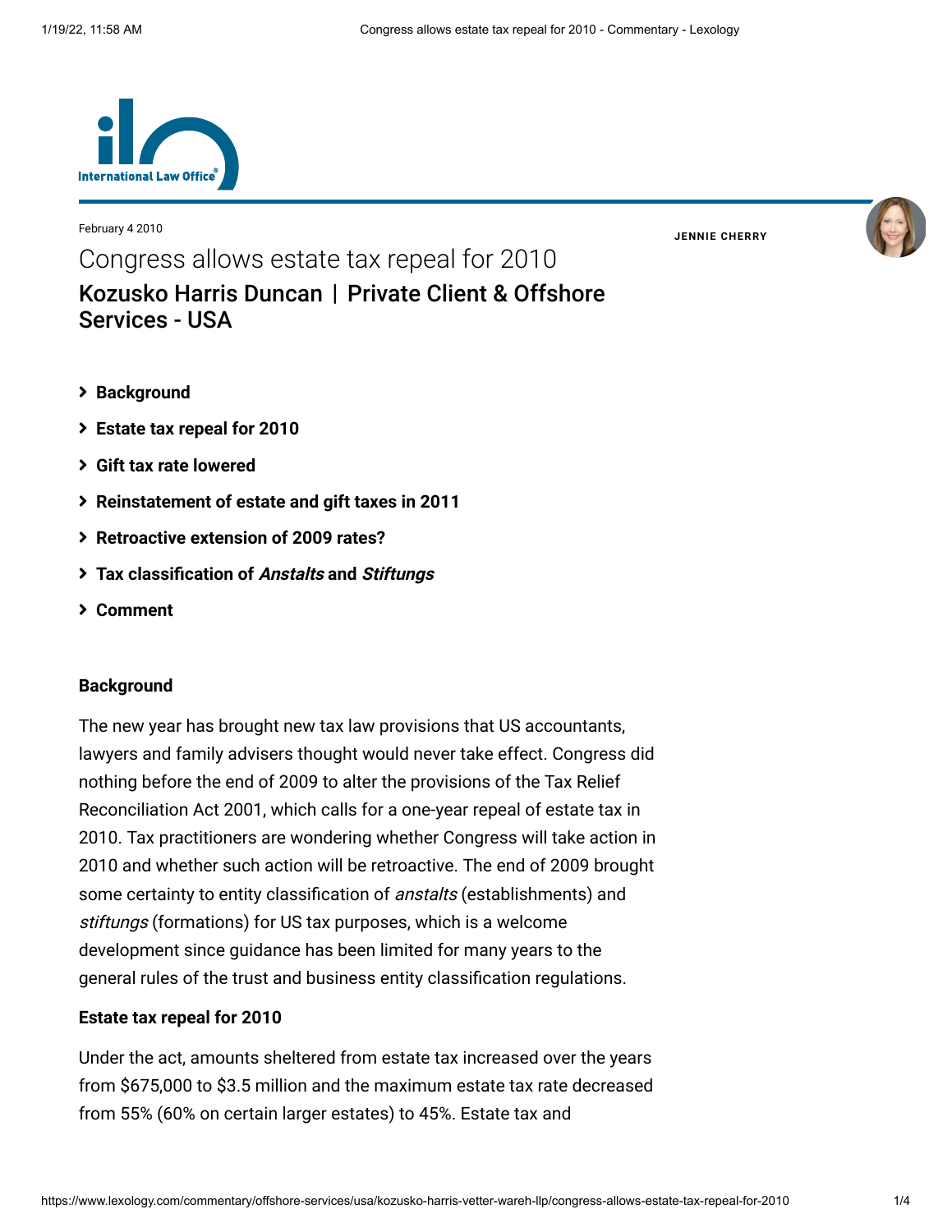

February 4 2010

**JENNIE [CHERRY](https://www.lexology.com/23364/author/Jennie_Cherry/)**

Congress allows estate tax repeal for 2010 [Kozusko Harris Duncan](https://www.lexology.com/contributors/23364) | Private Client & Offshore Services - USA

- **[Background](#page-0-0)**
- **[Estate tax repeal for 2010](#page-0-1)**
- **[Gift tax rate lowered](#page-1-0)**
- **[Reinstatement of estate and gift taxes in 2011](#page-1-1)**
- **[Retroactive extension of 2009 rates?](#page-1-2)**
- **[Tax classification of](#page-1-3) Anstalts and Stiftungs**
- **[Comment](#page-2-0)**

#### <span id="page-0-0"></span>**Background**

The new year has brought new tax law provisions that US accountants, lawyers and family advisers thought would never take effect. Congress did nothing before the end of 2009 to alter the provisions of the Tax Relief Reconciliation Act 2001, which calls for a one-year repeal of estate tax in 2010. Tax practitioners are wondering whether Congress will take action in 2010 and whether such action will be retroactive. The end of 2009 brought some certainty to entity classification of *anstalts* (establishments) and stiftungs (formations) for US tax purposes, which is a welcome development since guidance has been limited for many years to the general rules of the trust and business entity classification regulations.

#### <span id="page-0-1"></span>**Estate tax repeal for 2010**

Under the act, amounts sheltered from estate tax increased over the years from \$675,000 to \$3.5 million and the maximum estate tax rate decreased from 55% (60% on certain larger estates) to 45%. Estate tax and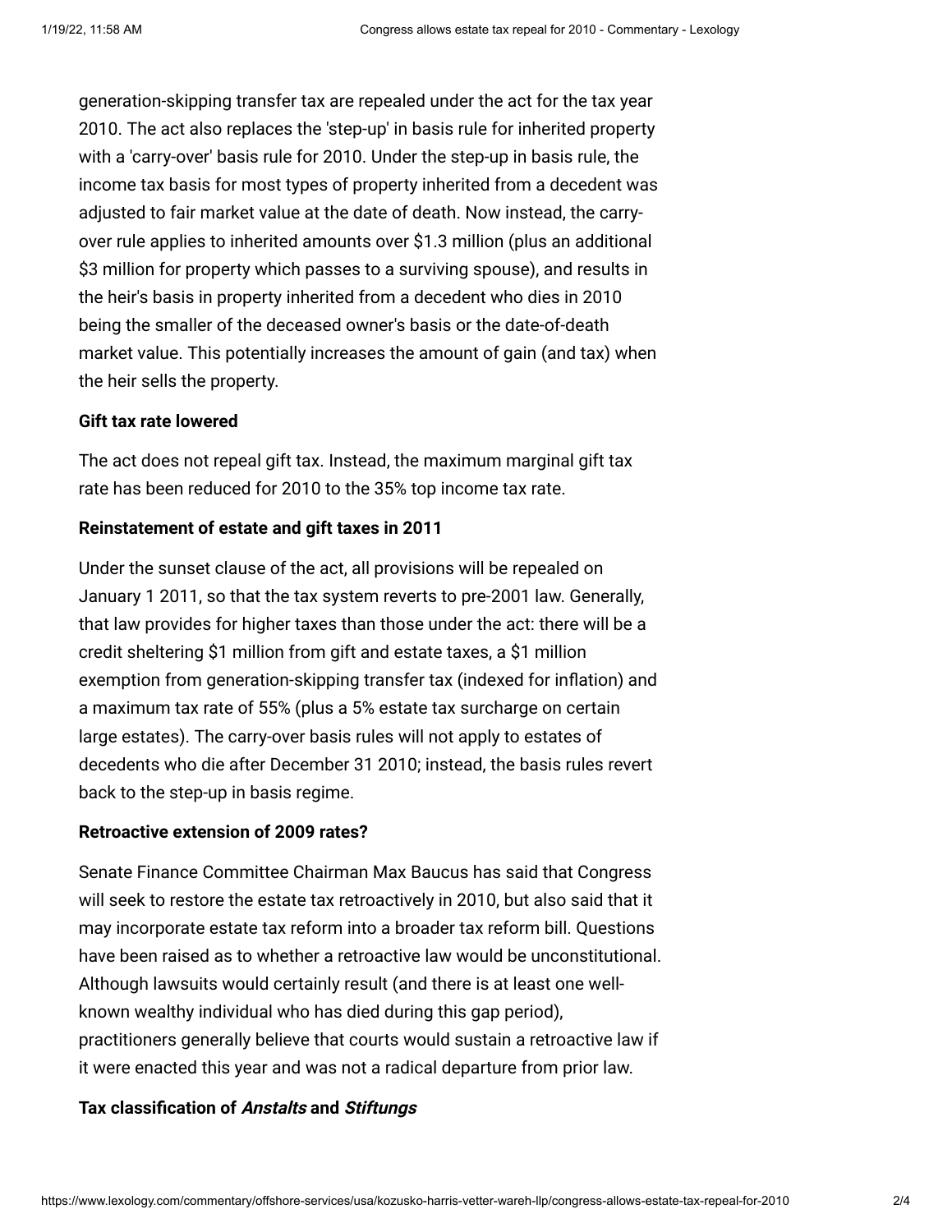generation-skipping transfer tax are repealed under the act for the tax year 2010. The act also replaces the 'step-up' in basis rule for inherited property with a 'carry-over' basis rule for 2010. Under the step-up in basis rule, the income tax basis for most types of property inherited from a decedent was adjusted to fair market value at the date of death. Now instead, the carryover rule applies to inherited amounts over \$1.3 million (plus an additional \$3 million for property which passes to a surviving spouse), and results in the heir's basis in property inherited from a decedent who dies in 2010 being the smaller of the deceased owner's basis or the date-of-death market value. This potentially increases the amount of gain (and tax) when the heir sells the property.

# <span id="page-1-0"></span>**Gift tax rate lowered**

The act does not repeal gift tax. Instead, the maximum marginal gift tax rate has been reduced for 2010 to the 35% top income tax rate.

### <span id="page-1-1"></span>**Reinstatement of estate and gift taxes in 2011**

Under the sunset clause of the act, all provisions will be repealed on January 1 2011, so that the tax system reverts to pre-2001 law. Generally, that law provides for higher taxes than those under the act: there will be a credit sheltering \$1 million from gift and estate taxes, a \$1 million exemption from generation-skipping transfer tax (indexed for inflation) and a maximum tax rate of 55% (plus a 5% estate tax surcharge on certain large estates). The carry-over basis rules will not apply to estates of decedents who die after December 31 2010; instead, the basis rules revert back to the step-up in basis regime.

# <span id="page-1-2"></span>**Retroactive extension of 2009 rates?**

Senate Finance Committee Chairman Max Baucus has said that Congress will seek to restore the estate tax retroactively in 2010, but also said that it may incorporate estate tax reform into a broader tax reform bill. Questions have been raised as to whether a retroactive law would be unconstitutional. Although lawsuits would certainly result (and there is at least one wellknown wealthy individual who has died during this gap period), practitioners generally believe that courts would sustain a retroactive law if it were enacted this year and was not a radical departure from prior law.

## <span id="page-1-3"></span>**Tax classification of Anstalts and Stiftungs**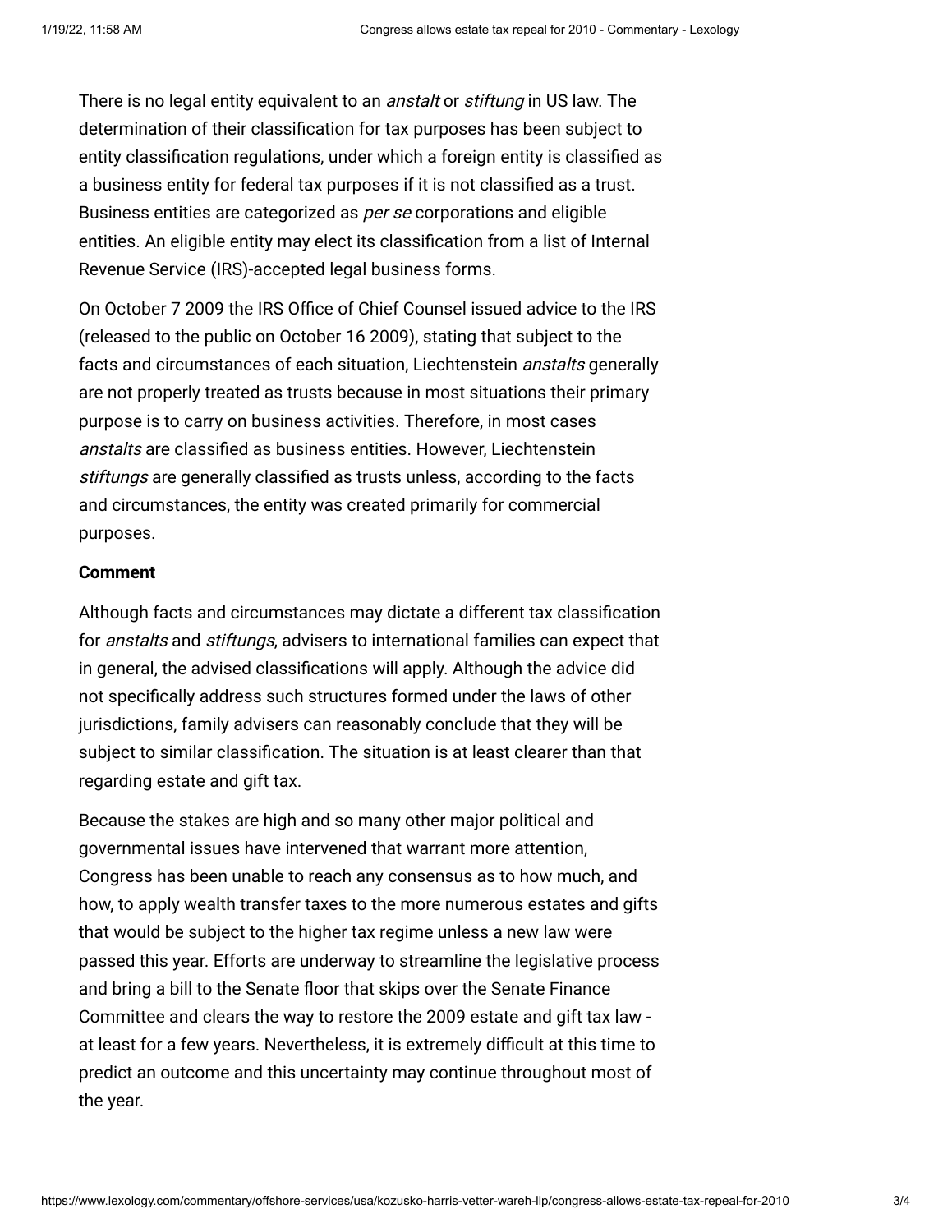There is no legal entity equivalent to an *anstalt* or *stiftung* in US law. The determination of their classification for tax purposes has been subject to entity classification regulations, under which a foreign entity is classified as a business entity for federal tax purposes if it is not classified as a trust. Business entities are categorized as per se corporations and eligible entities. An eligible entity may elect its classification from a list of Internal Revenue Service (IRS)-accepted legal business forms.

On October 7 2009 the IRS Office of Chief Counsel issued advice to the IRS (released to the public on October 16 2009), stating that subject to the facts and circumstances of each situation, Liechtenstein *anstalts* generally are not properly treated as trusts because in most situations their primary purpose is to carry on business activities. Therefore, in most cases anstalts are classified as business entities. However, Liechtenstein stiftungs are generally classified as trusts unless, according to the facts and circumstances, the entity was created primarily for commercial purposes.

### <span id="page-2-0"></span>**Comment**

Although facts and circumstances may dictate a different tax classification for anstalts and stiftungs, advisers to international families can expect that in general, the advised classifications will apply. Although the advice did not specifically address such structures formed under the laws of other jurisdictions, family advisers can reasonably conclude that they will be subject to similar classification. The situation is at least clearer than that regarding estate and gift tax.

Because the stakes are high and so many other major political and governmental issues have intervened that warrant more attention, Congress has been unable to reach any consensus as to how much, and how, to apply wealth transfer taxes to the more numerous estates and gifts that would be subject to the higher tax regime unless a new law were passed this year. Efforts are underway to streamline the legislative process and bring a bill to the Senate floor that skips over the Senate Finance Committee and clears the way to restore the 2009 estate and gift tax law at least for a few years. Nevertheless, it is extremely difficult at this time to predict an outcome and this uncertainty may continue throughout most of the year.